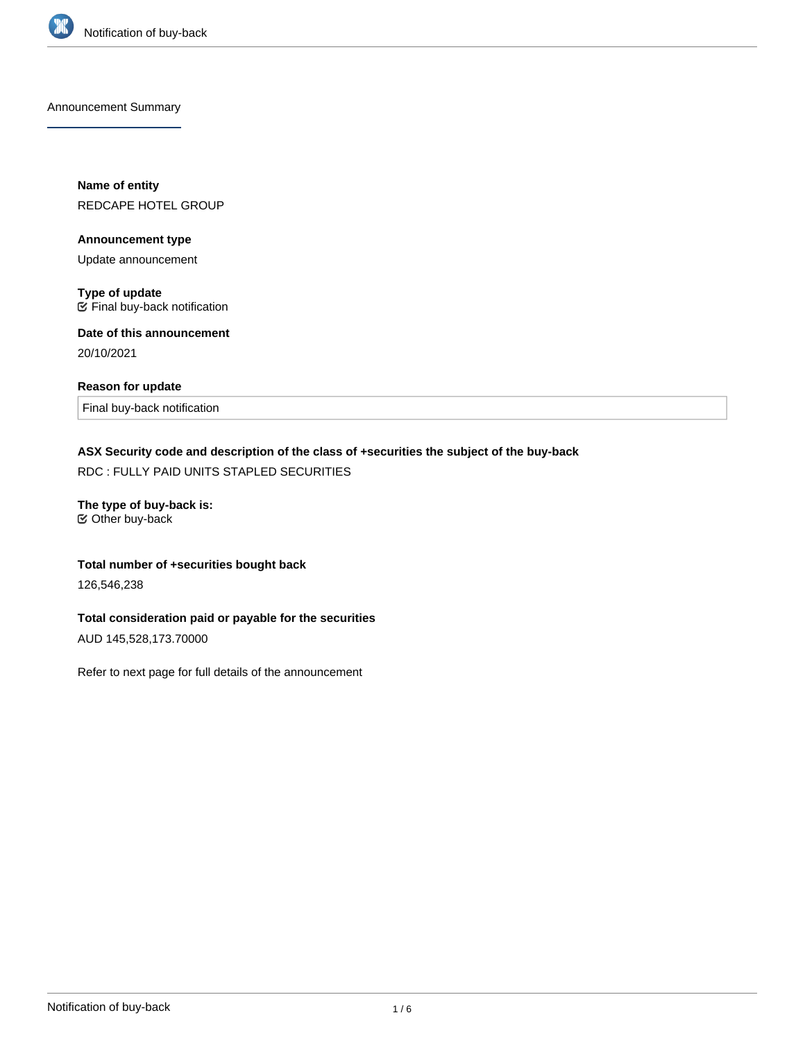

Announcement Summary

**Name of entity** REDCAPE HOTEL GROUP

**Announcement type**

Update announcement

**Type of update**  $E$  Final buy-back notification

**Date of this announcement** 20/10/2021

#### **Reason for update**

Final buy-back notification

## **ASX Security code and description of the class of +securities the subject of the buy-back**

RDC : FULLY PAID UNITS STAPLED SECURITIES

**The type of buy-back is:** Other buy-back

#### **Total number of +securities bought back**

126,546,238

## **Total consideration paid or payable for the securities**

AUD 145,528,173.70000

Refer to next page for full details of the announcement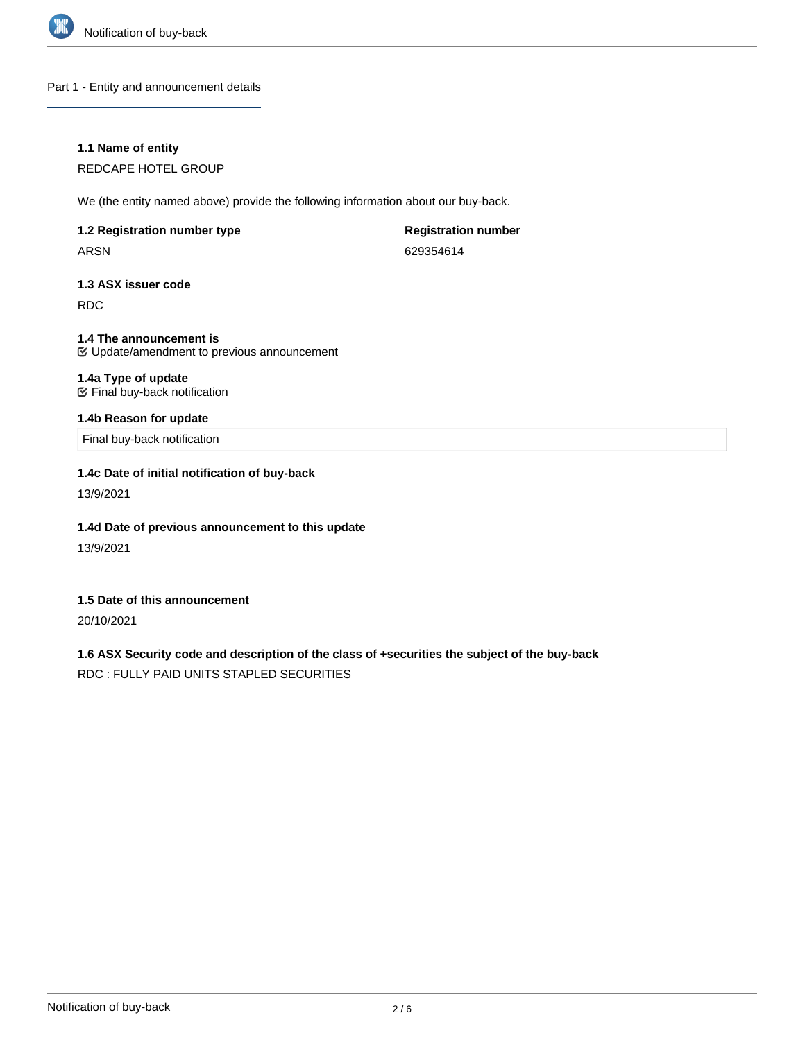

Part 1 - Entity and announcement details

### **1.1 Name of entity**

REDCAPE HOTEL GROUP

We (the entity named above) provide the following information about our buy-back.

## **1.2 Registration number type** ARSN

**Registration number** 629354614

**1.3 ASX issuer code**

RDC

**1.4 The announcement is** Update/amendment to previous announcement

## **1.4a Type of update**

Final buy-back notification

## **1.4b Reason for update**

Final buy-back notification

## **1.4c Date of initial notification of buy-back**

13/9/2021

## **1.4d Date of previous announcement to this update**

13/9/2021

## **1.5 Date of this announcement**

20/10/2021

# **1.6 ASX Security code and description of the class of +securities the subject of the buy-back**

RDC : FULLY PAID UNITS STAPLED SECURITIES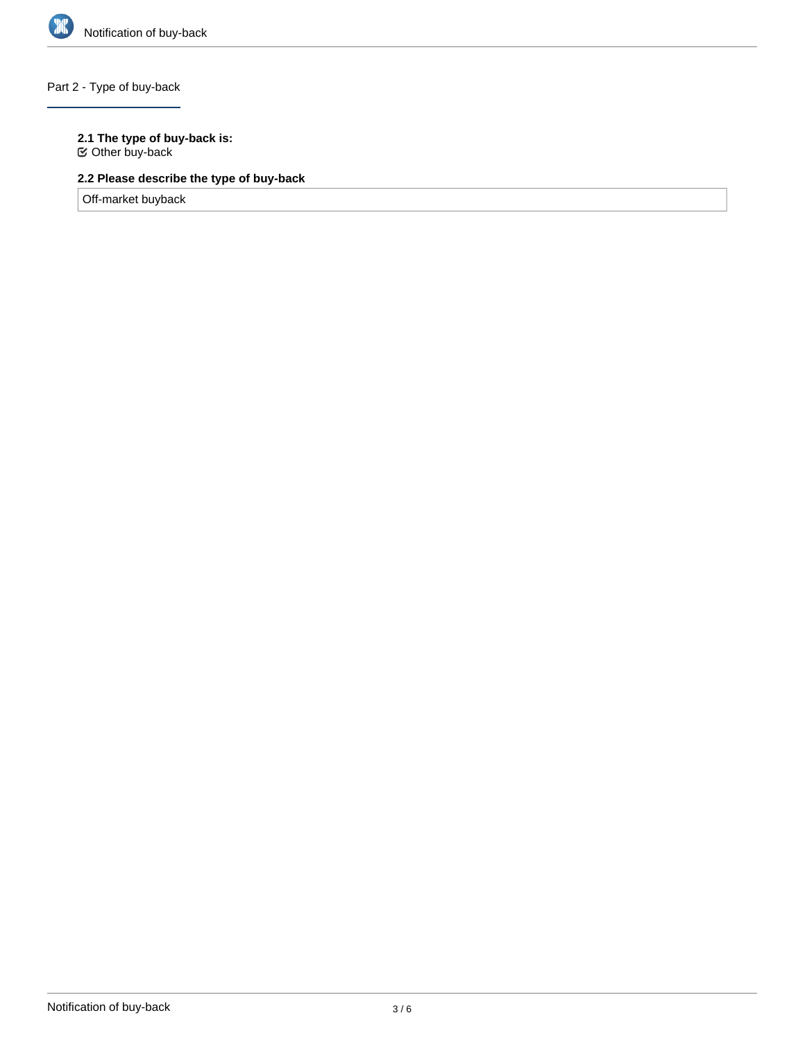

## Part 2 - Type of buy-back

## **2.1 The type of buy-back is:**

Other buy-back

# **2.2 Please describe the type of buy-back**

Off-market buyback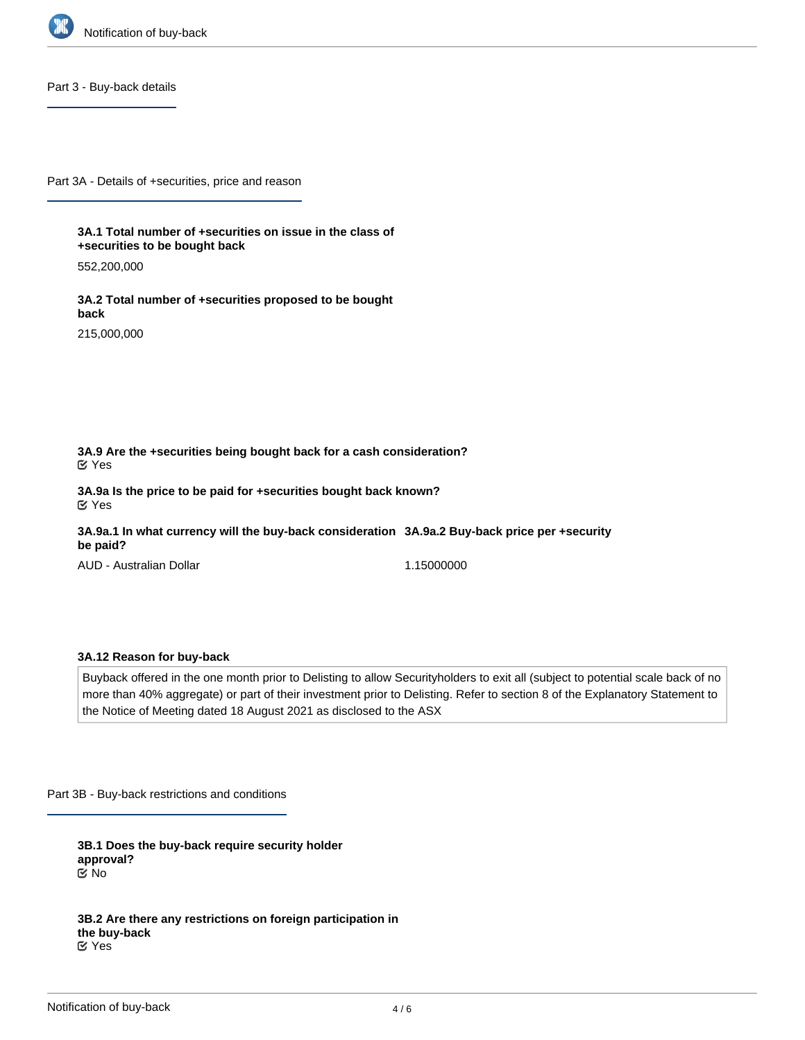

Part 3 - Buy-back details

Part 3A - Details of +securities, price and reason

**3A.1 Total number of +securities on issue in the class of +securities to be bought back**

552,200,000

**3A.2 Total number of +securities proposed to be bought back**

215,000,000

**3A.9 Are the +securities being bought back for a cash consideration?** Yes

**3A.9a Is the price to be paid for +securities bought back known?** Yes

**3A.9a.1 In what currency will the buy-back consideration 3A.9a.2 Buy-back price per +security be paid?**

AUD - Australian Dollar

1.15000000

#### **3A.12 Reason for buy-back**

Buyback offered in the one month prior to Delisting to allow Securityholders to exit all (subject to potential scale back of no more than 40% aggregate) or part of their investment prior to Delisting. Refer to section 8 of the Explanatory Statement to the Notice of Meeting dated 18 August 2021 as disclosed to the ASX

Part 3B - Buy-back restrictions and conditions

**3B.1 Does the buy-back require security holder approval?** No

**3B.2 Are there any restrictions on foreign participation in the buy-back** Yes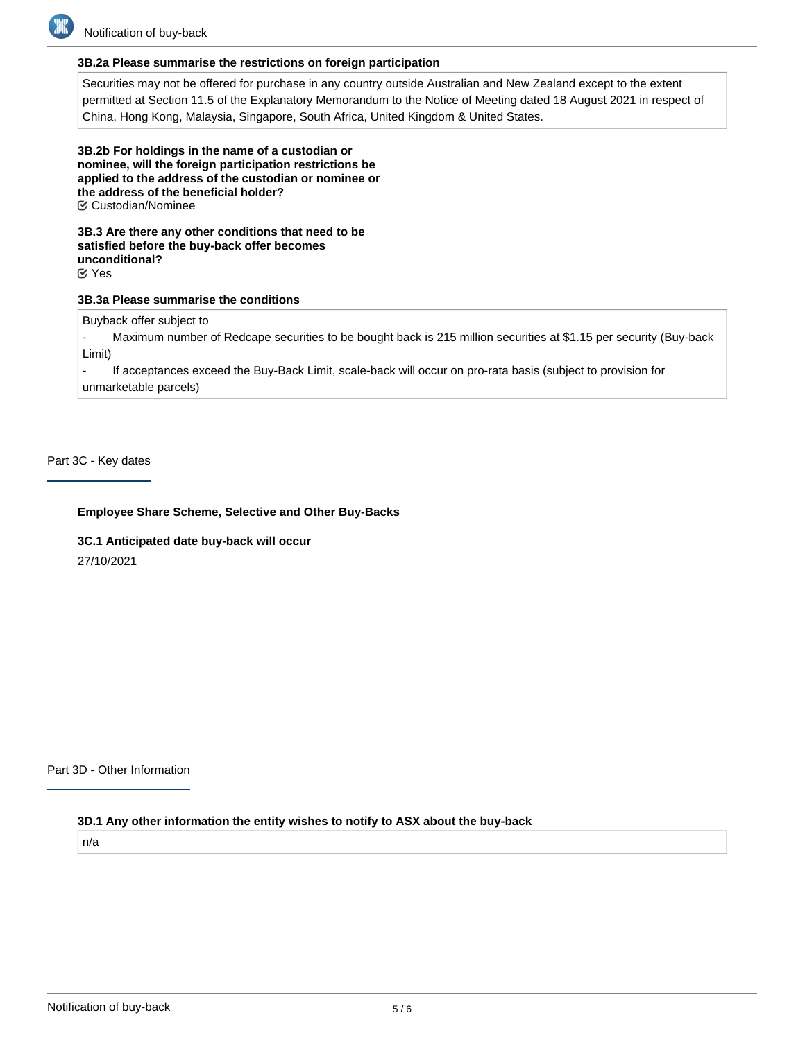

#### **3B.2a Please summarise the restrictions on foreign participation**

Securities may not be offered for purchase in any country outside Australian and New Zealand except to the extent permitted at Section 11.5 of the Explanatory Memorandum to the Notice of Meeting dated 18 August 2021 in respect of China, Hong Kong, Malaysia, Singapore, South Africa, United Kingdom & United States.

**3B.2b For holdings in the name of a custodian or nominee, will the foreign participation restrictions be applied to the address of the custodian or nominee or the address of the beneficial holder?** Custodian/Nominee

**3B.3 Are there any other conditions that need to be satisfied before the buy-back offer becomes unconditional?** Yes

## **3B.3a Please summarise the conditions**

Buyback offer subject to

Maximum number of Redcape securities to be bought back is 215 million securities at \$1.15 per security (Buy-back Limit)

- If acceptances exceed the Buy-Back Limit, scale-back will occur on pro-rata basis (subject to provision for unmarketable parcels)

Part 3C - Key dates

#### **Employee Share Scheme, Selective and Other Buy-Backs**

**3C.1 Anticipated date buy-back will occur** 27/10/2021

Part 3D - Other Information

## **3D.1 Any other information the entity wishes to notify to ASX about the buy-back**

n/a